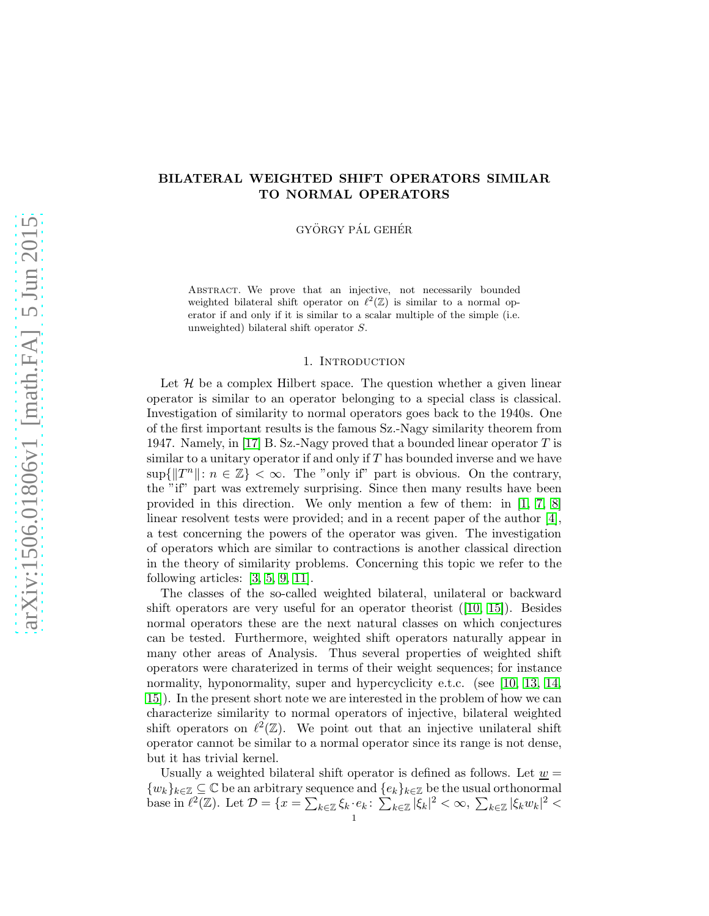# BILATERAL WEIGHTED SHIFT OPERATORS SIMILAR TO NORMAL OPERATORS

GYÖRGY PÁL GEHÉR

ABSTRACT. We prove that an injective, not necessarily bounded weighted bilateral shift operator on  $\ell^2(\mathbb{Z})$  is similar to a normal operator if and only if it is similar to a scalar multiple of the simple (i.e. unweighted) bilateral shift operator S.

### 1. INTRODUCTION

Let  $\mathcal H$  be a complex Hilbert space. The question whether a given linear operator is similar to an operator belonging to a special class is classical. Investigation of similarity to normal operators goes back to the 1940s. One of the first important results is the famous Sz.-Nagy similarity theorem from 1947. Namely, in [\[17\]](#page-4-0) B. Sz.-Nagy proved that a bounded linear operator  $T$  is similar to a unitary operator if and only if  $T$  has bounded inverse and we have  $\sup\{\|T^n\|: n \in \mathbb{Z}\}<\infty$ . The "only if" part is obvious. On the contrary, the "if" part was extremely surprising. Since then many results have been provided in this direction. We only mention a few of them: in [\[1,](#page-4-1) [7,](#page-4-2) [8\]](#page-4-3) linear resolvent tests were provided; and in a recent paper of the author [\[4\]](#page-4-4), a test concerning the powers of the operator was given. The investigation of operators which are similar to contractions is another classical direction in the theory of similarity problems. Concerning this topic we refer to the following articles: [\[3,](#page-4-5) [5,](#page-4-6) [9,](#page-4-7) [11\]](#page-4-8).

The classes of the so-called weighted bilateral, unilateral or backward shift operators are very useful for an operator theorist  $(10, 15)$ . Besides normal operators these are the next natural classes on which conjectures can be tested. Furthermore, weighted shift operators naturally appear in many other areas of Analysis. Thus several properties of weighted shift operators were charaterized in terms of their weight sequences; for instance normality, hyponormality, super and hypercyclicity e.t.c. (see [\[10,](#page-4-9) [13,](#page-4-11) [14,](#page-4-12) [15\]](#page-4-10)). In the present short note we are interested in the problem of how we can characterize similarity to normal operators of injective, bilateral weighted shift operators on  $\ell^2(\mathbb{Z})$ . We point out that an injective unilateral shift operator cannot be similar to a normal operator since its range is not dense, but it has trivial kernel.

Usually a weighted bilateral shift operator is defined as follows. Let  $\underline{w} =$  $\{w_k\}_{k\in\mathbb{Z}}\subseteq\mathbb{C}$  be an arbitrary sequence and  $\{e_k\}_{k\in\mathbb{Z}}$  be the usual orthonormal base in  $\ell^2(\mathbb{Z})$ . Let  $\mathcal{D} = \{x = \sum_{k \in \mathbb{Z}} \xi_k \cdot e_k : \sum_{k \in \mathbb{Z}} |\xi_k|^2 < \infty, \sum_{k \in \mathbb{Z}} |\xi_k w_k|^2 < \infty \}$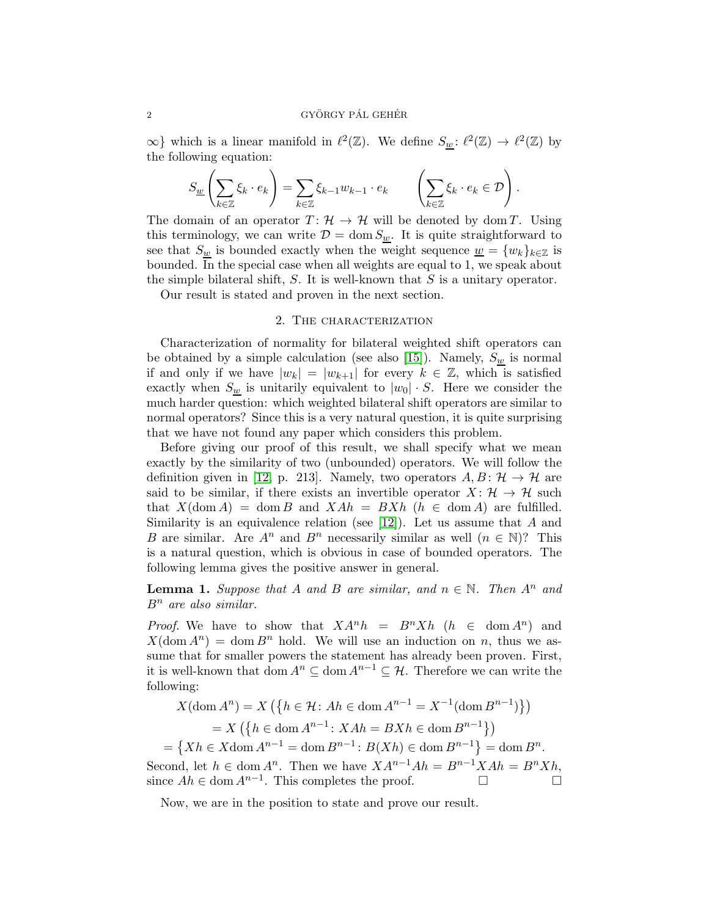$\infty$ } which is a linear manifold in  $\ell^2(\mathbb{Z})$ . We define  $S_{\underline{w}}: \ell^2(\mathbb{Z}) \to \ell^2(\mathbb{Z})$  by the following equation:

$$
S_{\underline{w}}\left(\sum_{k\in\mathbb{Z}}\xi_k\cdot e_k\right)=\sum_{k\in\mathbb{Z}}\xi_{k-1}w_{k-1}\cdot e_k\qquad\left(\sum_{k\in\mathbb{Z}}\xi_k\cdot e_k\in\mathcal{D}\right).
$$

The domain of an operator  $T: \mathcal{H} \to \mathcal{H}$  will be denoted by dom T. Using this terminology, we can write  $\mathcal{D} = \text{dom } S_w$ . It is quite straightforward to see that  $S_w$  is bounded exactly when the weight sequence  $\underline{w} = \{w_k\}_{k \in \mathbb{Z}}$  is bounded. In the special case when all weights are equal to 1, we speak about the simple bilateral shift,  $S$ . It is well-known that  $S$  is a unitary operator.

Our result is stated and proven in the next section.

#### 2. THE CHARACTERIZATION

Characterization of normality for bilateral weighted shift operators can be obtained by a simple calculation (see also [\[15\]](#page-4-10)). Namely,  $S_w$  is normal if and only if we have  $|w_k| = |w_{k+1}|$  for every  $k \in \mathbb{Z}$ , which is satisfied exactly when  $S_w$  is unitarily equivalent to  $|w_0| \cdot S$ . Here we consider the much harder question: which weighted bilateral shift operators are similar to normal operators? Since this is a very natural question, it is quite surprising that we have not found any paper which considers this problem.

Before giving our proof of this result, we shall specify what we mean exactly by the similarity of two (unbounded) operators. We will follow the definition given in [\[12,](#page-4-13) p. 213]. Namely, two operators  $A, B: \mathcal{H} \to \mathcal{H}$  are said to be similar, if there exists an invertible operator  $X: \mathcal{H} \to \mathcal{H}$  such that  $X(\text{dom }A) = \text{dom }B$  and  $XAh = BXh$   $(h \in \text{dom }A)$  are fulfilled. Similarity is an equivalence relation (see [\[12\]](#page-4-13)). Let us assume that A and B are similar. Are  $A^n$  and  $B^n$  necessarily similar as well  $(n \in \mathbb{N})$ ? This is a natural question, which is obvious in case of bounded operators. The following lemma gives the positive answer in general.

**Lemma 1.** Suppose that A and B are similar, and  $n \in \mathbb{N}$ . Then  $A^n$  and  $B<sup>n</sup>$  are also similar.

*Proof.* We have to show that  $XA^n h = B^n X h$   $(h \in \text{dom } A^n)$  and  $X(\text{dom } A^n) = \text{dom } B^n$  hold. We will use an induction on n, thus we assume that for smaller powers the statement has already been proven. First, it is well-known that dom  $A^n \subseteq \text{dom } A^{n-1} \subseteq \mathcal{H}$ . Therefore we can write the following:

$$
X(\text{dom } A^n) = X \left( \{ h \in \mathcal{H} : Ah \in \text{dom } A^{n-1} = X^{-1}(\text{dom } B^{n-1}) \} \right)
$$
  
=  $X \left( \{ h \in \text{dom } A^{n-1} : XAh = BXh \in \text{dom } B^{n-1} \} \right)$   
=  $\{ Xh \in X \text{dom } A^{n-1} = \text{dom } B^{n-1} : B(Xh) \in \text{dom } B^{n-1} \} = \text{dom } B^n.$ 

Second, let  $h \in \text{dom } A^n$ . Then we have  $XA^{n-1}Ah = B^{n-1}XAh = B^nXh$ , since  $Ah \in \text{dom } A^{n-1}$ . This completes the proof.  $□$ 

Now, we are in the position to state and prove our result.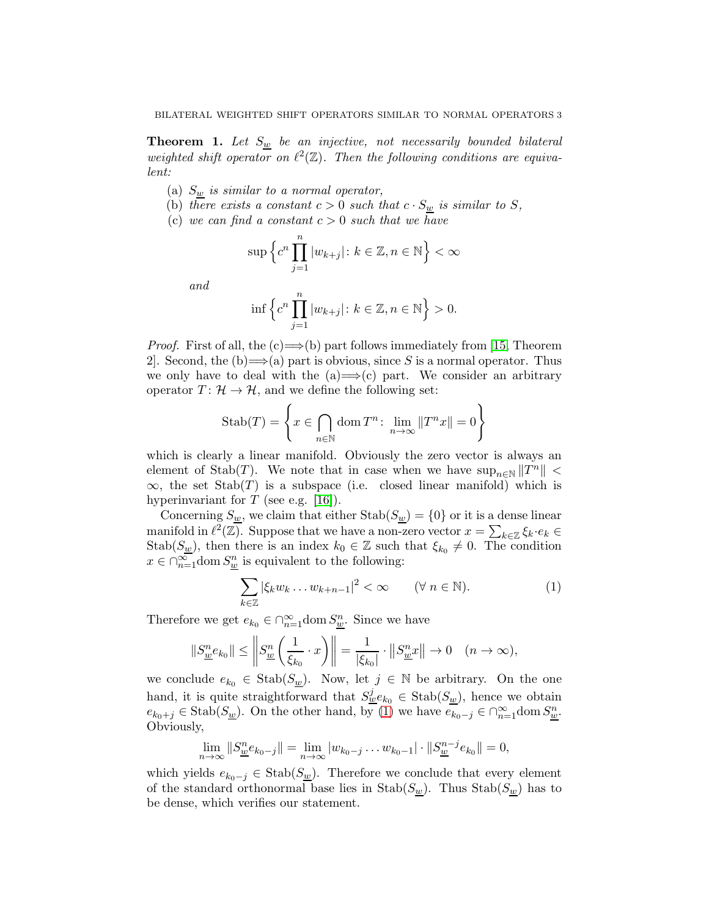**Theorem 1.** Let  $S_w$  be an injective, not necessarily bounded bilateral weighted shift operator on  $\ell^2(\mathbb{Z})$ . Then the following conditions are equivalent:

- (a)  $S_w$  is similar to a normal operator,
- (b) there exists a constant  $c > 0$  such that  $c \cdot S_w$  is similar to S,
- (c) we can find a constant  $c > 0$  such that we have

$$
\sup \left\{ c^n \prod_{j=1}^n |w_{k+j}| \colon k \in \mathbb{Z}, n \in \mathbb{N} \right\} < \infty
$$

and

$$
\inf \left\{ c^n \prod_{j=1}^n |w_{k+j}| \colon k \in \mathbb{Z}, n \in \mathbb{N} \right\} > 0.
$$

*Proof.* First of all, the (c)  $\Longrightarrow$  (b) part follows immediately from [\[15,](#page-4-10) Theorem 2. Second, the  $(b) \rightarrow (a)$  part is obvious, since S is a normal operator. Thus we only have to deal with the  $(a) \implies (c)$  part. We consider an arbitrary operator  $T: \mathcal{H} \to \mathcal{H}$ , and we define the following set:

$$
\text{Stab}(T) = \left\{ x \in \bigcap_{n \in \mathbb{N}} \text{dom}\, T^n \colon \lim_{n \to \infty} ||T^n x|| = 0 \right\}
$$

which is clearly a linear manifold. Obviously the zero vector is always an element of  $\text{Stab}(T)$ . We note that in case when we have  $\sup_{n\in\mathbb{N}}||T^n|| <$  $\infty$ , the set Stab(T) is a subspace (i.e. closed linear manifold) which is hyperinvariant for  $T$  (see e.g. [\[16\]](#page-4-14)).

Concerning  $S_{\underline{w}}$ , we claim that either  $\text{Stab}(S_{\underline{w}}) = \{0\}$  or it is a dense linear manifold in  $\ell^2(\mathbb{Z})$ . Suppose that we have a non-zero vector  $x = \sum_{k \in \mathbb{Z}} \xi_k \cdot e_k \in$ Stab $(S_w)$ , then there is an index  $k_0 \in \mathbb{Z}$  such that  $\xi_{k_0} \neq 0$ . The condition  $x \in \bigcap_{n=1}^{\infty}$  dom  $S_{\underline{w}}^{n}$  is equivalent to the following:

<span id="page-2-0"></span>
$$
\sum_{k\in\mathbb{Z}} |\xi_k w_k \dots w_{k+n-1}|^2 < \infty \qquad (\forall \ n \in \mathbb{N}).\tag{1}
$$

Therefore we get  $e_{k_0} \in \bigcap_{n=1}^{\infty}$  dom  $S_{\underline{w}}^n$ . Since we have

$$
||S_{\underline{w}}^n e_{k_0}|| \le \left||S_{\underline{w}}^n \left(\frac{1}{\xi_{k_0}} \cdot x\right)\right|| = \frac{1}{|\xi_{k_0}|} \cdot ||S_{\underline{w}}^n x|| \to 0 \quad (n \to \infty),
$$

we conclude  $e_{k_0} \in \text{Stab}(S_{\underline{w}})$ . Now, let  $j \in \mathbb{N}$  be arbitrary. On the one hand, it is quite straightforward that  $S^j_{\underline{w}}e_{k_0} \in \text{Stab}(S_{\underline{w}})$ , hence we obtain  $e_{k_0+j} \in \text{Stab}(S_{\underline{w}}).$  On the other hand, by [\(1\)](#page-2-0) we have  $e_{k_0-j} \in \bigcap_{n=1}^{\infty}$  dom  $S_{\underline{w}}^n$ . Obviously,

$$
\lim_{n \to \infty} ||S_{\underline{w}}^n e_{k_0 - j}|| = \lim_{n \to \infty} |w_{k_0 - j} \dots w_{k_0 - 1}| \cdot ||S_{\underline{w}}^{n - j} e_{k_0}|| = 0,
$$

which yields  $e_{k_0-j} \in \text{Stab}(S_w)$ . Therefore we conclude that every element of the standard orthonormal base lies in  $\text{Stab}(S_w)$ . Thus  $\text{Stab}(S_w)$  has to be dense, which verifies our statement.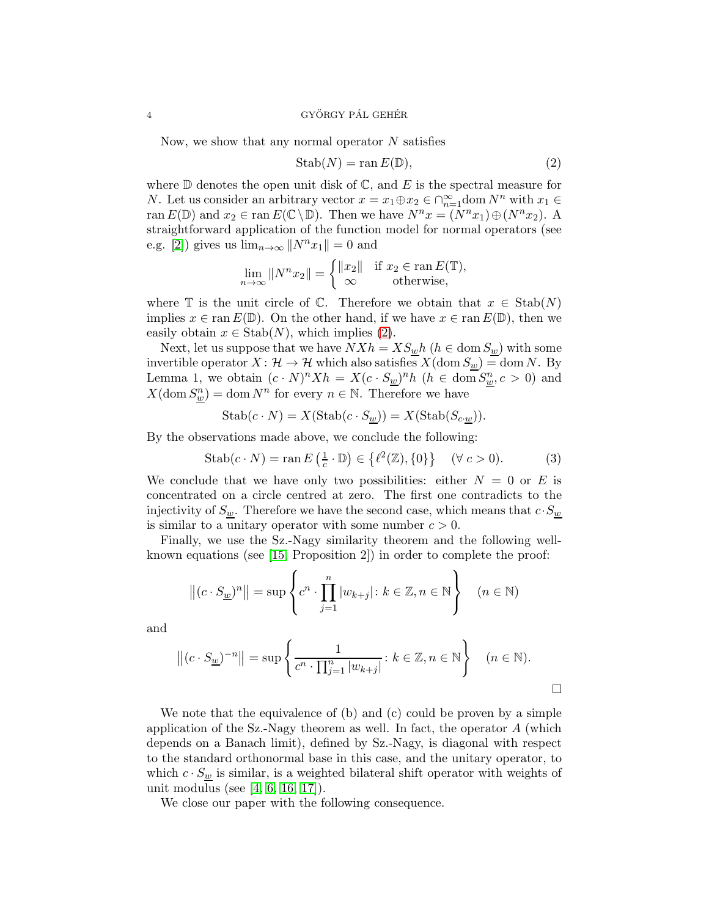### $4$  GYÖRGY PÁL GEHÉR

Now, we show that any normal operator  $N$  satisfies

<span id="page-3-0"></span>
$$
Stab(N) = \operatorname{ran} E(\mathbb{D}),\tag{2}
$$

where  $D$  denotes the open unit disk of  $C$ , and E is the spectral measure for N. Let us consider an arbitrary vector  $x = x_1 \oplus x_2 \in \bigcap_{n=1}^{\infty} \text{dom } N^n$  with  $x_1 \in$ ran  $E(\mathbb{D})$  and  $x_2 \in \text{ran } E(\mathbb{C} \setminus \mathbb{D})$ . Then we have  $N^n x = (N^n x_1) \oplus (N^n x_2)$ . A straightforward application of the function model for normal operators (see e.g. [\[2\]](#page-4-15)) gives us  $\lim_{n\to\infty}||N^n x_1|| = 0$  and

$$
\lim_{n \to \infty} ||N^n x_2|| = \begin{cases} ||x_2|| & \text{if } x_2 \in \text{ran } E(\mathbb{T}), \\ \infty & \text{otherwise,} \end{cases}
$$

where T is the unit circle of C. Therefore we obtain that  $x \in \text{Stab}(N)$ implies  $x \in \text{ran } E(\mathbb{D})$ . On the other hand, if we have  $x \in \text{ran } E(\mathbb{D})$ , then we easily obtain  $x \in \text{Stab}(N)$ , which implies [\(2\)](#page-3-0).

Next, let us suppose that we have  $N X h = X S_{\underline{w}} h$  ( $h \in \text{dom } S_{\underline{w}}$ ) with some invertible operator  $X: \mathcal{H} \to \mathcal{H}$  which also satisfies  $X(\text{dom } S_{\underline{w}}) = \text{dom } N$ . By Lemma 1, we obtain  $(c \cdot N)^n X h = X (c \cdot S_{\underline{w}})^n h$   $(h \in \text{dom } S_{\underline{w}}^n, c > 0)$  and  $X(\text{dom } S_{\underline{w}}^n) = \text{dom } N^n$  for every  $n \in \mathbb{N}$ . Therefore we have

$$
\text{Stab}(c \cdot N) = X(\text{Stab}(c \cdot S_{\underline{w}})) = X(\text{Stab}(S_{c \cdot \underline{w}})).
$$

By the observations made above, we conclude the following:

$$
\text{Stab}(c \cdot N) = \text{ran} \, E\left(\frac{1}{c} \cdot \mathbb{D}\right) \in \left\{\ell^2(\mathbb{Z}), \{0\}\right\} \quad (\forall \, c > 0). \tag{3}
$$

We conclude that we have only two possibilities: either  $N = 0$  or E is concentrated on a circle centred at zero. The first one contradicts to the injectivity of  $S_{\underline{w}}$ . Therefore we have the second case, which means that  $c \cdot S_{\underline{w}}$ is similar to a unitary operator with some number  $c > 0$ .

Finally, we use the Sz.-Nagy similarity theorem and the following wellknown equations (see [\[15,](#page-4-10) Proposition 2]) in order to complete the proof:

$$
\left\| (c \cdot S_{\underline{w}})^n \right\| = \sup \left\{ c^n \cdot \prod_{j=1}^n |w_{k+j}| \colon k \in \mathbb{Z}, n \in \mathbb{N} \right\} \quad (n \in \mathbb{N})
$$

and

$$
\left\|(c \cdot S_{\underline{w}})^{-n}\right\| = \sup \left\{\frac{1}{c^n \cdot \prod_{j=1}^n |w_{k+j}|} : k \in \mathbb{Z}, n \in \mathbb{N}\right\} \quad (n \in \mathbb{N}).
$$

We note that the equivalence of (b) and (c) could be proven by a simple application of the Sz.-Nagy theorem as well. In fact, the operator  $A$  (which depends on a Banach limit), defined by Sz.-Nagy, is diagonal with respect to the standard orthonormal base in this case, and the unitary operator, to which  $c \cdot S_{\underline{w}}$  is similar, is a weighted bilateral shift operator with weights of unit modulus (see [\[4,](#page-4-4) [6,](#page-4-16) [16,](#page-4-14) [17\]](#page-4-0)).

We close our paper with the following consequence.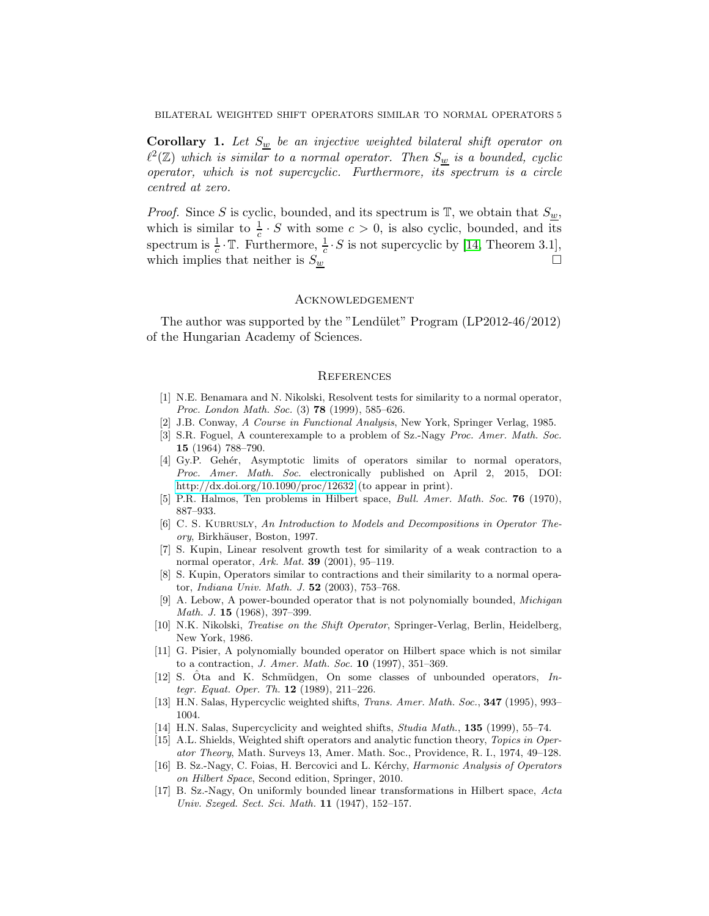BILATERAL WEIGHTED SHIFT OPERATORS SIMILAR TO NORMAL OPERATORS 5

**Corollary 1.** Let  $S_w$  be an injective weighted bilateral shift operator on  $\ell^2(\mathbb{Z})$  which is similar to a normal operator. Then  $S_{\underline{w}}$  is a bounded, cyclic operator, which is not supercyclic. Furthermore, its spectrum is a circle centred at zero.

*Proof.* Since S is cyclic, bounded, and its spectrum is  $\mathbb{T}$ , we obtain that  $S_{\underline{w}}$ , which is similar to  $\frac{1}{c} \cdot S$  with some  $c > 0$ , is also cyclic, bounded, and its spectrum is  $\frac{1}{c} \cdot \mathbb{T}$ . Furthermore,  $\frac{1}{c} \cdot S$  is not supercyclic by [\[14,](#page-4-12) Theorem 3.1], which implies that neither is  $S_w$ 

#### **ACKNOWLEDGEMENT**

The author was supported by the "Lendület" Program (LP2012-46/2012) of the Hungarian Academy of Sciences.

### **REFERENCES**

- <span id="page-4-1"></span>[1] N.E. Benamara and N. Nikolski, Resolvent tests for similarity to a normal operator, Proc. London Math. Soc. (3) **78** (1999), 585-626.
- <span id="page-4-15"></span><span id="page-4-5"></span>[2] J.B. Conway, A Course in Functional Analysis, New York, Springer Verlag, 1985.
- [3] S.R. Foguel, A counterexample to a problem of Sz.-Nagy Proc. Amer. Math. Soc. 15 (1964) 788–790.
- <span id="page-4-4"></span>[4] Gy.P. Gehér, Asymptotic limits of operators similar to normal operators, Proc. Amer. Math. Soc. electronically published on April 2, 2015, DOI: <http://dx.doi.org/10.1090/proc/12632> (to appear in print).
- <span id="page-4-16"></span><span id="page-4-6"></span>[5] P.R. Halmos, Ten problems in Hilbert space, Bull. Amer. Math. Soc. 76 (1970), 887–933.
- [6] C. S. KUBRUSLY, An Introduction to Models and Decompositions in Operator Theory, Birkhäuser, Boston, 1997.
- <span id="page-4-2"></span>[7] S. Kupin, Linear resolvent growth test for similarity of a weak contraction to a normal operator, Ark. Mat. **39** (2001), 95–119.
- <span id="page-4-3"></span>[8] S. Kupin, Operators similar to contractions and their similarity to a normal operator, Indiana Univ. Math. J. 52 (2003), 753–768.
- <span id="page-4-7"></span>[9] A. Lebow, A power-bounded operator that is not polynomially bounded, Michigan Math. J. 15 (1968), 397–399.
- <span id="page-4-9"></span>[10] N.K. Nikolski, Treatise on the Shift Operator, Springer-Verlag, Berlin, Heidelberg, New York, 1986.
- <span id="page-4-8"></span>[11] G. Pisier, A polynomially bounded operator on Hilbert space which is not similar to a contraction, J. Amer. Math. Soc. 10 (1997), 351–369.
- <span id="page-4-13"></span>[12] S.  $\hat{O}$ ta and K. Schmüdgen, On some classes of unbounded operators, Integr. Equat. Oper. Th. 12 (1989), 211–226.
- <span id="page-4-12"></span><span id="page-4-11"></span>[13] H.N. Salas, Hypercyclic weighted shifts, Trans. Amer. Math. Soc., 347 (1995), 993– 1004.
- <span id="page-4-10"></span>[14] H.N. Salas, Supercyclicity and weighted shifts, Studia Math., 135 (1999), 55–74.
- [15] A.L. Shields, Weighted shift operators and analytic function theory, Topics in Operator Theory, Math. Surveys 13, Amer. Math. Soc., Providence, R. I., 1974, 49–128.
- <span id="page-4-14"></span>[16] B. Sz.-Nagy, C. Foias, H. Bercovici and L. Kérchy, *Harmonic Analysis of Operators* on Hilbert Space, Second edition, Springer, 2010.
- <span id="page-4-0"></span>[17] B. Sz.-Nagy, On uniformly bounded linear transformations in Hilbert space, Acta Univ. Szeged. Sect. Sci. Math. 11 (1947), 152–157.